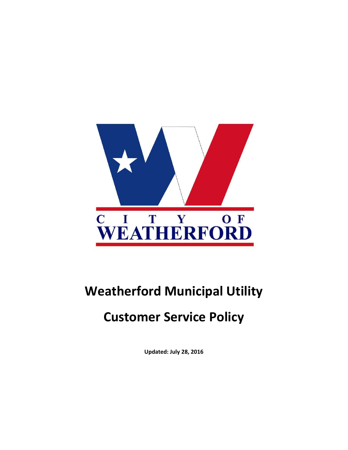

# **Weatherford Municipal Utility**

# **Customer Service Policy**

**Updated: July 28, 2016**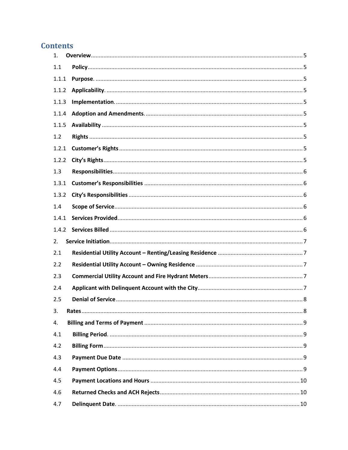# **Contents**

| 1.    |  |
|-------|--|
| 1.1   |  |
| 1.1.1 |  |
| 1.1.2 |  |
| 1.1.3 |  |
| 1.1.4 |  |
| 1.1.5 |  |
| 1.2   |  |
| 1.2.1 |  |
| 1.2.2 |  |
| 1.3   |  |
| 1.3.1 |  |
| 1.3.2 |  |
| 1.4   |  |
| 1.4.1 |  |
| 1.4.2 |  |
| 2.    |  |
| 2.1   |  |
| 2.2   |  |
| 2.3   |  |
| 2.4   |  |
| 2.5   |  |
| 3.    |  |
| 4.    |  |
| 4.1   |  |
| 4.2   |  |
| 4.3   |  |
| 4.4   |  |
| 4.5   |  |
| 4.6   |  |
| 4.7   |  |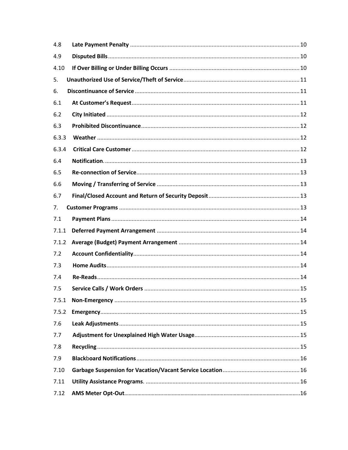| 4.8   |  |
|-------|--|
| 4.9   |  |
| 4.10  |  |
| 5.    |  |
| 6.    |  |
| 6.1   |  |
| 6.2   |  |
| 6.3   |  |
| 6.3.3 |  |
| 6.3.4 |  |
| 6.4   |  |
| 6.5   |  |
| 6.6   |  |
| 6.7   |  |
| 7.    |  |
| 7.1   |  |
| 7.1.1 |  |
| 7.1.2 |  |
| 7.2   |  |
| 7.3   |  |
| 7.4   |  |
| 7.5   |  |
| 7.5.1 |  |
| 7.5.2 |  |
| 7.6   |  |
| 7.7   |  |
| 7.8   |  |
| 7.9   |  |
| 7.10  |  |
| 7.11  |  |
| 7.12  |  |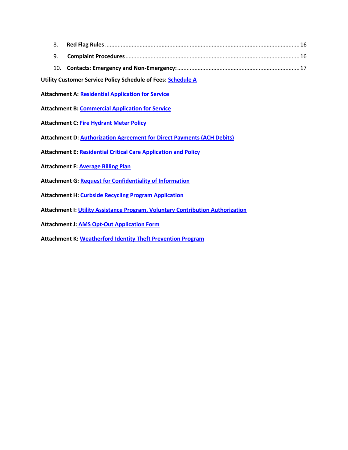**Utility Customer Service Policy Schedule of Fees[: Schedule A](http://tx-weatherford3.civicplus.com/DocumentCenter/View/8471)**

**Attachment A: [Residential Application for Service](http://tx-weatherford3.civicplus.com/DocumentCenter/View/166)**

**Attachment B[: Commercial Application for Service](http://tx-weatherford3.civicplus.com/DocumentCenter/View/201)**

- **Attachment C: [Fire Hydrant Meter Policy](http://tx-weatherford3.civicplus.com/DocumentCenter/View/8437)**
- **Attachment D[: Authorization Agreement for Direct Payments](http://tx-weatherford3.civicplus.com/DocumentCenter/View/202) (ACH Debits)**
- **Attachment E: [Residential Critical Care Application](http://tx-weatherford3.civicplus.com/DocumentCenter/View/8440) and Policy**
- **Attachment F[: Average Billing Plan](http://tx-weatherford3.civicplus.com/DocumentCenter/View/169)**
- **Attachment G[: Request for Confidentiality of Information](http://tx-weatherford3.civicplus.com/DocumentCenter/View/8438)**
- **Attachment H[: Curbside Recycling Program Application](http://tx-weatherford3.civicplus.com/DocumentCenter/View/1559)**
- **Attachment I[: Utility Assistance Program, Voluntary Contribution Authorization](http://tx-weatherford3.civicplus.com/DocumentCenter/View/8442)**
- **Attachment J: [AMS Opt-Out Application Form](file://///server1/storage/secure/bhuddleston/Desktop/Customer%20Service%20Policy/AMS%20Opt-Out%20Application.pdf)**
- **Attachment K[: Weatherford Identity Theft Prevention Program](http://tx-weatherford3.civicplus.com/DocumentCenter/View/8477)**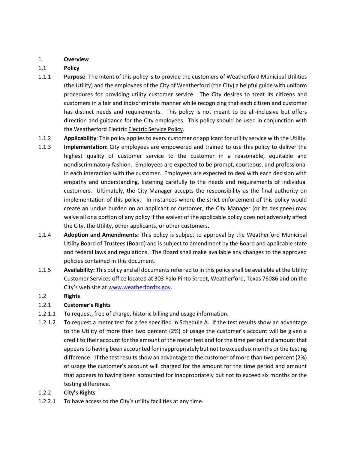#### <span id="page-4-0"></span>1. **Overview**

### <span id="page-4-1"></span>1.1 **Policy**

- <span id="page-4-2"></span>1.1.1 **Purpose**: The intent of this policy is to provide the customers of Weatherford Municipal Utilities (the Utility) and the employees of the City of Weatherford (the City) a helpful guide with uniform procedures for providing utility customer service. The City desires to treat its citizens and customers in a fair and indiscriminate manner while recognizing that each citizen and customer has distinct needs and requirements. This policy is not meant to be all-inclusive but offers direction and guidance for the City employees. This policy should be used in conjunction with the Weatherford Electric Electric Service Policy.
- <span id="page-4-3"></span>1.1.2 **Applicability**: This policy applies to every customer or applicant for utility service with the Utility.
- <span id="page-4-4"></span>1.1.3 **Implementation:** City employees are empowered and trained to use this policy to deliver the highest quality of customer service to the customer in a reasonable, equitable and nondiscriminatory fashion. Employees are expected to be prompt, courteous, and professional in each interaction with the customer. Employees are expected to deal with each decision with empathy and understanding, listening carefully to the needs and requirements of individual customers. Ultimately, the City Manager accepts the responsibility as the final authority on implementation of this policy. In instances where the strict enforcement of this policy would create an undue burden on an applicant or customer, the City Manager (or its designee) may waive all or a portion of any policy if the waiver of the applicable policy does not adversely affect the City, the Utility, other applicants, or other customers.
- <span id="page-4-5"></span>1.1.4 **Adoption and Amendments:** This policy is subject to approval by the Weatherford Municipal Utility Board of Trustees (Board) and is subject to amendment by the Board and applicable state and federal laws and regulations. The Board shall make available any changes to the approved policies contained in this document.
- <span id="page-4-6"></span>1.1.5 **Availability:** This policy and all documents referred to in this policy shall be available at the Utility Customer Services office located at 303 Palo Pinto Street, Weatherford, Texas 76086 and on the City's web site at [www.weatherfordtx.gov.](http://www.weatherfordtx.gov/)

#### <span id="page-4-7"></span>1.2 **Rights**

#### <span id="page-4-8"></span>1.2.1 **Customer's Rights**

- 1.2.1.1 To request, free of charge, historic billing and usage information.
- 1.2.1.2 To request a meter test for a fee specified in Schedule A. If the test results show an advantage to the Utility of more than two percent (2%) of usage the customer's account will be given a credit to their account for the amount of the meter test and for the time period and amount that appears to having been accounted for inappropriately but not to exceed six months or the testing difference. If the test results show an advantage to the customer of more than two percent (2%) of usage the customer's account will charged for the amount for the time period and amount that appears to having been accounted for inappropriately but not to exceed six months or the testing difference.

#### <span id="page-4-9"></span>1.2.2 **City's Rights**

1.2.2.1 To have access to the City's utility facilities at any time.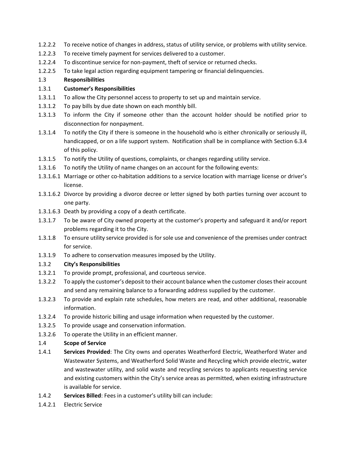- 1.2.2.2 To receive notice of changes in address, status of utility service, or problems with utility service.
- 1.2.2.3 To receive timely payment for services delivered to a customer.
- 1.2.2.4 To discontinue service for non-payment, theft of service or returned checks.
- 1.2.2.5 To take legal action regarding equipment tampering or financial delinquencies.

### <span id="page-5-0"></span>1.3 **Responsibilities**

#### <span id="page-5-1"></span>1.3.1 **Customer's Responsibilities**

- 1.3.1.1 To allow the City personnel access to property to set up and maintain service.
- 1.3.1.2 To pay bills by due date shown on each monthly bill.
- 1.3.1.3 To inform the City if someone other than the account holder should be notified prior to disconnection for nonpayment.
- 1.3.1.4 To notify the City if there is someone in the household who is either chronically or seriously ill, handicapped, or on a life support system. Notification shall be in compliance with Section 6.3.4 of this policy.
- 1.3.1.5 To notify the Utility of questions, complaints, or changes regarding utility service.
- 1.3.1.6 To notify the Utility of name changes on an account for the following events:
- 1.3.1.6.1 Marriage or other co-habitation additions to a service location with marriage license or driver's license.
- 1.3.1.6.2 Divorce by providing a divorce decree or letter signed by both parties turning over account to one party.
- 1.3.1.6.3 Death by providing a copy of a death certificate.
- 1.3.1.7 To be aware of City owned property at the customer's property and safeguard it and/or report problems regarding it to the City.
- 1.3.1.8 To ensure utility service provided is for sole use and convenience of the premises under contract for service.
- 1.3.1.9 To adhere to conservation measures imposed by the Utility.

## <span id="page-5-2"></span>1.3.2 **City's Responsibilities**

- 1.3.2.1 To provide prompt, professional, and courteous service.
- 1.3.2.2 To apply the customer's deposit to their account balance when the customer closes their account and send any remaining balance to a forwarding address supplied by the customer.
- 1.3.2.3 To provide and explain rate schedules, how meters are read, and other additional, reasonable information.
- 1.3.2.4 To provide historic billing and usage information when requested by the customer.
- 1.3.2.5 To provide usage and conservation information.
- 1.3.2.6 To operate the Utility in an efficient manner.

#### <span id="page-5-3"></span>1.4 **Scope of Service**

- <span id="page-5-4"></span>1.4.1 **Services Provided**: The City owns and operates Weatherford Electric, Weatherford Water and Wastewater Systems, and Weatherford Solid Waste and Recycling which provide electric, water and wastewater utility, and solid waste and recycling services to applicants requesting service and existing customers within the City's service areas as permitted, when existing infrastructure is available for service.
- <span id="page-5-5"></span>1.4.2 **Services Billed**: Fees in a customer's utility bill can include:
- 1.4.2.1 Electric Service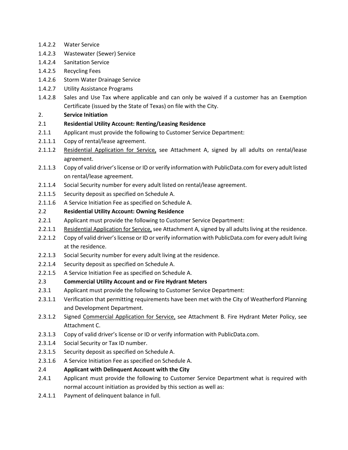- 1.4.2.2 Water Service
- 1.4.2.3 Wastewater (Sewer) Service
- 1.4.2.4 Sanitation Service
- 1.4.2.5 Recycling Fees
- 1.4.2.6 Storm Water Drainage Service
- 1.4.2.7 Utility Assistance Programs
- 1.4.2.8 Sales and Use Tax where applicable and can only be waived if a customer has an Exemption Certificate (issued by the State of Texas) on file with the City.

### <span id="page-6-0"></span>2. **Service Initiation**

- <span id="page-6-1"></span>2.1 **Residential Utility Account: Renting/Leasing Residence**
- 2.1.1 Applicant must provide the following to Customer Service Department:
- 2.1.1.1 Copy of rental/lease agreement.
- 2.1.1.2 Residential Application for Service, see Attachment A, signed by all adults on rental/lease agreement.
- 2.1.1.3 Copy of valid driver's license or ID or verify information with PublicData.com for every adult listed on rental/lease agreement.
- 2.1.1.4 Social Security number for every adult listed on rental/lease agreement.
- 2.1.1.5 Security deposit as specified on Schedule A.
- 2.1.1.6 A Service Initiation Fee as specified on Schedule A.

### <span id="page-6-2"></span>2.2 **Residential Utility Account: Owning Residence**

- 2.2.1 Applicant must provide the following to Customer Service Department:
- 2.2.1.1 Residential Application for Service, see Attachment A, signed by all adults living at the residence.
- 2.2.1.2 Copy of valid driver's license or ID or verify information with PublicData.com for every adult living at the residence.
- 2.2.1.3 Social Security number for every adult living at the residence.
- 2.2.1.4 Security deposit as specified on Schedule A.
- 2.2.1.5 A Service Initiation Fee as specified on Schedule A.

#### <span id="page-6-3"></span>2.3 **Commercial Utility Account and or Fire Hydrant Meters**

- 2.3.1 Applicant must provide the following to Customer Service Department:
- 2.3.1.1 Verification that permitting requirements have been met with the City of Weatherford Planning and Development Department.
- 2.3.1.2 Signed Commercial Application for Service, see Attachment B. Fire Hydrant Meter Policy, see Attachment C.
- 2.3.1.3 Copy of valid driver's license or ID or verify information with PublicData.com.
- 2.3.1.4 Social Security or Tax ID number.
- 2.3.1.5 Security deposit as specified on Schedule A.
- 2.3.1.6 A Service Initiation Fee as specified on Schedule A.

#### <span id="page-6-4"></span>2.4 **Applicant with Delinquent Account with the City**

- 2.4.1 Applicant must provide the following to Customer Service Department what is required with normal account initiation as provided by this section as well as:
- 2.4.1.1 Payment of delinquent balance in full.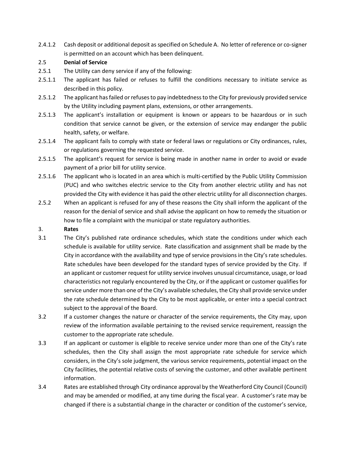2.4.1.2 Cash deposit or additional deposit as specified on Schedule A. No letter of reference or co-signer is permitted on an account which has been delinquent.

#### <span id="page-7-0"></span>2.5 **Denial of Service**

- 2.5.1 The Utility can deny service if any of the following:
- 2.5.1.1 The applicant has failed or refuses to fulfill the conditions necessary to initiate service as described in this policy.
- 2.5.1.2 The applicant has failed or refuses to pay indebtedness to the City for previously provided service by the Utility including payment plans, extensions, or other arrangements.
- 2.5.1.3 The applicant's installation or equipment is known or appears to be hazardous or in such condition that service cannot be given, or the extension of service may endanger the public health, safety, or welfare.
- 2.5.1.4 The applicant fails to comply with state or federal laws or regulations or City ordinances, rules, or regulations governing the requested service.
- 2.5.1.5 The applicant's request for service is being made in another name in order to avoid or evade payment of a prior bill for utility service.
- 2.5.1.6 The applicant who is located in an area which is multi-certified by the Public Utility Commission (PUC) and who switches electric service to the City from another electric utility and has not provided the City with evidence it has paid the other electric utility for all disconnection charges.
- 2.5.2 When an applicant is refused for any of these reasons the City shall inform the applicant of the reason for the denial of service and shall advise the applicant on how to remedy the situation or how to file a complaint with the municipal or state regulatory authorities.

#### <span id="page-7-1"></span>3. **Rates**

- 3.1 The City's published rate ordinance schedules, which state the conditions under which each schedule is available for utility service. Rate classification and assignment shall be made by the City in accordance with the availability and type of service provisions in the City's rate schedules. Rate schedules have been developed for the standard types of service provided by the City. If an applicant or customer request for utility service involves unusual circumstance, usage, or load characteristics not regularly encountered by the City, or if the applicant or customer qualifies for service under more than one of the City's available schedules, the City shall provide service under the rate schedule determined by the City to be most applicable, or enter into a special contract subject to the approval of the Board.
- 3.2 If a customer changes the nature or character of the service requirements, the City may, upon review of the information available pertaining to the revised service requirement, reassign the customer to the appropriate rate schedule.
- 3.3 If an applicant or customer is eligible to receive service under more than one of the City's rate schedules, then the City shall assign the most appropriate rate schedule for service which considers, in the City's sole judgment, the various service requirements, potential impact on the City facilities, the potential relative costs of serving the customer, and other available pertinent information.
- 3.4 Rates are established through City ordinance approval by the Weatherford City Council (Council) and may be amended or modified, at any time during the fiscal year. A customer's rate may be changed if there is a substantial change in the character or condition of the customer's service,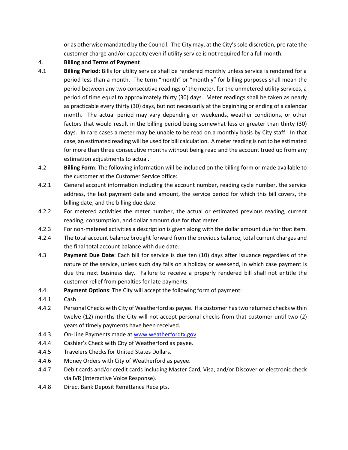or as otherwise mandated by the Council. The City may, at the City's sole discretion, pro rate the customer charge and/or capacity even if utility service is not required for a full month.

#### <span id="page-8-0"></span>4. **Billing and Terms of Payment**

- <span id="page-8-1"></span>4.1 **Billing Period**: Bills for utility service shall be rendered monthly unless service is rendered for a period less than a month. The term "month" or "monthly" for billing purposes shall mean the period between any two consecutive readings of the meter, for the unmetered utility services, a period of time equal to approximately thirty (30) days. Meter readings shall be taken as nearly as practicable every thirty (30) days, but not necessarily at the beginning or ending of a calendar month. The actual period may vary depending on weekends, weather conditions, or other factors that would result in the billing period being somewhat less or greater than thirty (30) days. In rare cases a meter may be unable to be read on a monthly basis by City staff. In that case, an estimated reading will be used for bill calculation. A meter reading is not to be estimated for more than three consecutive months without being read and the account trued up from any estimation adjustments to actual.
- <span id="page-8-2"></span>4.2 **Billing Form**: The following information will be included on the billing form or made available to the customer at the Customer Service office:
- 4.2.1 General account information including the account number, reading cycle number, the service address, the last payment date and amount, the service period for which this bill covers, the billing date, and the billing due date.
- 4.2.2 For metered activities the meter number, the actual or estimated previous reading, current reading, consumption, and dollar amount due for that meter.
- 4.2.3 For non-metered activities a description is given along with the dollar amount due for that item.
- 4.2.4 The total account balance brought forward from the previous balance, total current charges and the final total account balance with due date.
- <span id="page-8-3"></span>4.3 **Payment Due Date**: Each bill for service is due ten (10) days after issuance regardless of the nature of the service, unless such day falls on a holiday or weekend, in which case payment is due the next business day. Failure to receive a properly rendered bill shall not entitle the customer relief from penalties for late payments.
- <span id="page-8-4"></span>4.4 **Payment Options**: The City will accept the following form of payment:
- 4.4.1 Cash
- 4.4.2 Personal Checks with City of Weatherford as payee. If a customer has two returned checks within twelve (12) months the City will not accept personal checks from that customer until two (2) years of timely payments have been received.
- 4.4.3 On-Line Payments made a[t www.weatherfordtx.gov.](http://www.weatherfordtx.gov/)
- 4.4.4 Cashier's Check with City of Weatherford as payee.
- 4.4.5 Travelers Checks for United States Dollars.
- 4.4.6 Money Orders with City of Weatherford as payee.
- 4.4.7 Debit cards and/or credit cards including Master Card, Visa, and/or Discover or electronic check via IVR (Interactive Voice Response).
- 4.4.8 Direct Bank Deposit Remittance Receipts.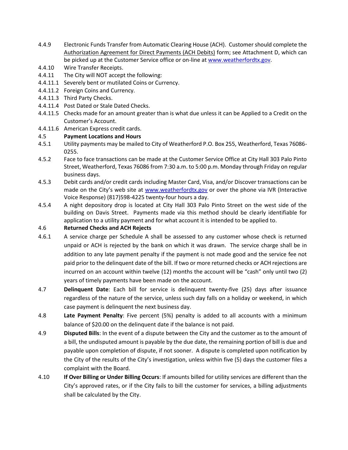- 4.4.9 Electronic Funds Transfer from Automatic Clearing House (ACH). Customer should complete the Authorization Agreement for Direct Payments (ACH Debits) form; see Attachment D, which can be picked up at the Customer Service office or on-line at [www.weatherfordtx.gov.](http://www.weatherfordtx.gov/)
- 4.4.10 Wire Transfer Receipts.
- 4.4.11 The City will NOT accept the following:
- 4.4.11.1 Severely bent or mutilated Coins or Currency.
- 4.4.11.2 Foreign Coins and Currency.
- 4.4.11.3 Third Party Checks.
- 4.4.11.4 Post Dated or Stale Dated Checks.
- 4.4.11.5 Checks made for an amount greater than is what due unless it can be Applied to a Credit on the Customer's Account.
- 4.4.11.6 American Express credit cards.

### <span id="page-9-0"></span>4.5 **Payment Locations and Hours**

- 4.5.1 Utility payments may be mailed to City of Weatherford P.O. Box 255, Weatherford, Texas 76086- 0255.
- 4.5.2 Face to face transactions can be made at the Customer Service Office at City Hall 303 Palo Pinto Street, Weatherford, Texas 76086 from 7:30 a.m. to 5:00 p.m. Monday through Friday on regular business days.
- 4.5.3 Debit cards and/or credit cards including Master Card, Visa, and/or Discover transactions can be made on the City's web site at [www.weatherfordtx.gov](http://www.weatherfordtx.gov/) or over the phone via IVR (Interactive Voice Response) (817)598-4225 twenty-four hours a day.
- 4.5.4 A night depository drop is located at City Hall 303 Palo Pinto Street on the west side of the building on Davis Street. Payments made via this method should be clearly identifiable for application to a utility payment and for what account it is intended to be applied to.

### <span id="page-9-1"></span>4.6 **Returned Checks and ACH Rejects**

- 4.6.1 A service charge per Schedule A shall be assessed to any customer whose check is returned unpaid or ACH is rejected by the bank on which it was drawn. The service charge shall be in addition to any late payment penalty if the payment is not made good and the service fee not paid prior to the delinquent date of the bill. If two or more returned checks or ACH rejections are incurred on an account within twelve (12) months the account will be "cash" only until two (2) years of timely payments have been made on the account.
- <span id="page-9-2"></span>4.7 **Delinquent Date**: Each bill for service is delinquent twenty-five (25) days after issuance regardless of the nature of the service, unless such day falls on a holiday or weekend, in which case payment is delinquent the next business day.
- <span id="page-9-3"></span>4.8 **Late Payment Penalty**: Five percent (5%) penalty is added to all accounts with a minimum balance of \$20.00 on the delinquent date if the balance is not paid.
- <span id="page-9-4"></span>4.9 **Disputed Bills**: In the event of a dispute between the City and the customer as to the amount of a bill, the undisputed amount is payable by the due date, the remaining portion of bill is due and payable upon completion of dispute, if not sooner. A dispute is completed upon notification by the City of the results of the City's investigation, unless within five (5) days the customer files a complaint with the Board.
- <span id="page-9-5"></span>4.10 **If Over Billing or Under Billing Occurs**: If amounts billed for utility services are different than the City's approved rates, or if the City fails to bill the customer for services, a billing adjustments shall be calculated by the City.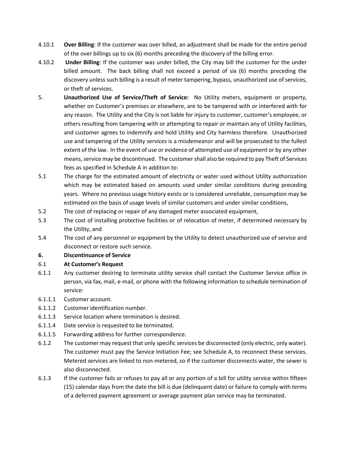- 4.10.1 **Over Billing**: If the customer was over billed, an adjustment shall be made for the entire period of the over billings up to six (6) months preceding the discovery of the billing error.
- 4.10.2 **Under Billing**: If the customer was under billed, the City may bill the customer for the under billed amount. The back billing shall not exceed a period of six (6) months preceding the discovery unless such billing is a result of meter tampering, bypass, unauthorized use of services, or theft of services.
- <span id="page-10-0"></span>5. **Unauthorized Use of Service/Theft of Service:** No Utility meters, equipment or property, whether on Customer's premises or elsewhere, are to be tampered with or interfered with for any reason. The Utility and the City is not liable for injury to customer, customer's employee, or others resulting from tampering with or attempting to repair or maintain any of Utility facilities, and customer agrees to indemnify and hold Utility and City harmless therefore. Unauthorized use and tampering of the Utility services is a misdemeanor and will be prosecuted to the fullest extent of the law. In the event of use or evidence of attempted use of equipment or by any other means, service may be discontinued. The customer shall also be required to pay Theft of Services fees as specified in Schedule A in addition to:
- 5.1 The charge for the estimated amount of electricity or water used without Utility authorization which may be estimated based on amounts used under similar conditions during preceding years. Where no previous usage history exists or is considered unreliable, consumption may be estimated on the basis of usage levels of similar customers and under similar conditions,
- 5.2 The cost of replacing or repair of any damaged meter associated equipment,
- 5.3 The cost of installing protective facilities or of relocation of meter, if determined necessary by the Utility, and
- 5.4 The cost of any personnel or equipment by the Utility to detect unauthorized use of service and disconnect or restore such service.

#### <span id="page-10-1"></span>**6. Discontinuance of Service**

#### <span id="page-10-2"></span>6.1 **At Customer's Request**

- 6.1.1 Any customer desiring to terminate utility service shall contact the Customer Service office in person, via fax, mail, e-mail, or phone with the following information to schedule termination of service:
- 6.1.1.1 Customer account.
- 6.1.1.2 Customer identification number.
- 6.1.1.3 Service location where termination is desired.
- 6.1.1.4 Date service is requested to be terminated.
- 6.1.1.5 Forwarding address for further correspondence.
- 6.1.2 The customer may request that only specific services be disconnected (only electric, only water). The customer must pay the Service Initiation Fee; see Schedule A, to reconnect these services. Metered services are linked to non-metered, so if the customer disconnects water, the sewer is also disconnected.
- 6.1.3 If the customer fails or refuses to pay all or any portion of a bill for utility service within fifteen (15) calendar days from the date the bill is due (delinquent date) or failure to comply with terms of a deferred payment agreement or average payment plan service may be terminated.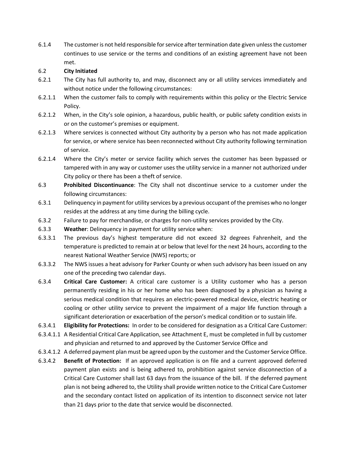6.1.4 The customer is not held responsible for service after termination date given unless the customer continues to use service or the terms and conditions of an existing agreement have not been met.

#### <span id="page-11-0"></span>6.2 **City Initiated**

- 6.2.1 The City has full authority to, and may, disconnect any or all utility services immediately and without notice under the following circumstances:
- 6.2.1.1 When the customer fails to comply with requirements within this policy or the Electric Service Policy.
- 6.2.1.2 When, in the City's sole opinion, a hazardous, public health, or public safety condition exists in or on the customer's premises or equipment.
- 6.2.1.3 Where services is connected without City authority by a person who has not made application for service, or where service has been reconnected without City authority following termination of service.
- 6.2.1.4 Where the City's meter or service facility which serves the customer has been bypassed or tampered with in any way or customer uses the utility service in a manner not authorized under City policy or there has been a theft of service.
- <span id="page-11-1"></span>6.3 **Prohibited Discontinuance**: The City shall not discontinue service to a customer under the following circumstances:
- 6.3.1 Delinquency in payment for utility services by a previous occupant of the premises who no longer resides at the address at any time during the billing cycle.
- 6.3.2 Failure to pay for merchandise, or charges for non-utility services provided by the City.
- <span id="page-11-2"></span>6.3.3 **Weather**: Delinquency in payment for utility service when:
- 6.3.3.1 The previous day's highest temperature did not exceed 32 degrees Fahrenheit, and the temperature is predicted to remain at or below that level for the next 24 hours, according to the nearest National Weather Service (NWS) reports; or
- 6.3.3.2 The NWS issues a heat advisory for Parker County or when such advisory has been issued on any one of the preceding two calendar days.
- <span id="page-11-3"></span>6.3.4 **Critical Care Customer:** A critical care customer is a Utility customer who has a person permanently residing in his or her home who has been diagnosed by a physician as having a serious medical condition that requires an electric-powered medical device, electric heating or cooling or other utility service to prevent the impairment of a major life function through a significant deterioration or exacerbation of the person's medical condition or to sustain life.
- 6.3.4.1 **Eligibility for Protections:** In order to be considered for designation as a Critical Care Customer:
- 6.3.4.1.1 A Residential Critical Care Application, see Attachment E, must be completed in full by customer and physician and returned to and approved by the Customer Service Office and
- 6.3.4.1.2 A deferred payment plan must be agreed upon by the customer and the Customer Service Office.
- 6.3.4.2 **Benefit of Protection:** If an approved application is on file and a current approved deferred payment plan exists and is being adhered to, prohibition against service disconnection of a Critical Care Customer shall last 63 days from the issuance of the bill. If the deferred payment plan is not being adhered to, the Utility shall provide written notice to the Critical Care Customer and the secondary contact listed on application of its intention to disconnect service not later than 21 days prior to the date that service would be disconnected.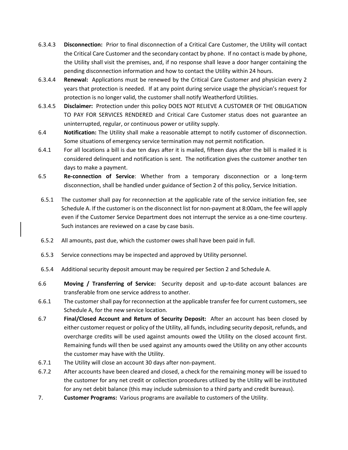- 6.3.4.3 **Disconnection:** Prior to final disconnection of a Critical Care Customer, the Utility will contact the Critical Care Customer and the secondary contact by phone. If no contact is made by phone, the Utility shall visit the premises, and, if no response shall leave a door hanger containing the pending disconnection information and how to contact the Utility within 24 hours.
- 6.3.4.4 **Renewal:** Applications must be renewed by the Critical Care Customer and physician every 2 years that protection is needed. If at any point during service usage the physician's request for protection is no longer valid, the customer shall notify Weatherford Utilities.
- 6.3.4.5 **Disclaimer:** Protection under this policy DOES NOT RELIEVE A CUSTOMER OF THE OBLIGATION TO PAY FOR SERVICES RENDERED and Critical Care Customer status does not guarantee an uninterrupted, regular, or continuous power or utility supply.
- <span id="page-12-0"></span>6.4 **Notification:** The Utility shall make a reasonable attempt to notify customer of disconnection. Some situations of emergency service termination may not permit notification.
- 6.4.1 For all locations a bill is due ten days after it is mailed, fifteen days after the bill is mailed it is considered delinquent and notification is sent. The notification gives the customer another ten days to make a payment.
- <span id="page-12-1"></span>6.5 **Re-connection of Service**: Whether from a temporary disconnection or a long-term disconnection, shall be handled under guidance of Section 2 of this policy, Service Initiation.
- 6.5.1 The customer shall pay for reconnection at the applicable rate of the service initiation fee, see Schedule A. If the customer is on the disconnect list for non-payment at 8:00am, the fee will apply even if the Customer Service Department does not interrupt the service as a one-time courtesy. Such instances are reviewed on a case by case basis.
- 6.5.2 All amounts, past due, which the customer owes shall have been paid in full.
- 6.5.3 Service connections may be inspected and approved by Utility personnel.
- 6.5.4 Additional security deposit amount may be required per Section 2 and Schedule A.
- <span id="page-12-2"></span>6.6 **Moving / Transferring of Service:** Security deposit and up-to-date account balances are transferable from one service address to another.
- 6.6.1 The customer shall pay for reconnection at the applicable transfer fee for current customers, see Schedule A, for the new service location.
- <span id="page-12-3"></span>6.7 **Final/Closed Account and Return of Security Deposit:** After an account has been closed by either customer request or policy of the Utility, all funds, including security deposit, refunds, and overcharge credits will be used against amounts owed the Utility on the closed account first. Remaining funds will then be used against any amounts owed the Utility on any other accounts the customer may have with the Utility.
- 6.7.1 The Utility will close an account 30 days after non-payment.
- 6.7.2 After accounts have been cleared and closed, a check for the remaining money will be issued to the customer for any net credit or collection procedures utilized by the Utility will be instituted for any net debit balance (this may include submission to a third party and credit bureaus).
- <span id="page-12-4"></span>7. **Customer Programs:** Various programs are available to customers of the Utility.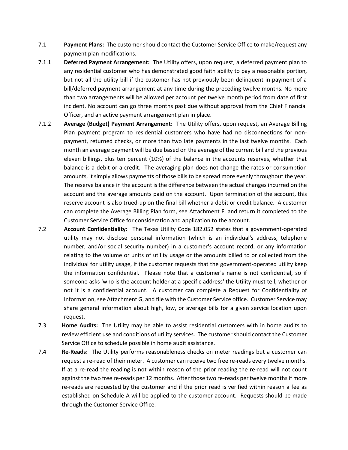- <span id="page-13-0"></span>7.1 **Payment Plans:** The customer should contact the Customer Service Office to make/request any payment plan modifications.
- <span id="page-13-1"></span>7.1.1 **Deferred Payment Arrangement:** The Utility offers, upon request, a deferred payment plan to any residential customer who has demonstrated good faith ability to pay a reasonable portion, but not all the utility bill if the customer has not previously been delinquent in payment of a bill/deferred payment arrangement at any time during the preceding twelve months. No more than two arrangements will be allowed per account per twelve month period from date of first incident. No account can go three months past due without approval from the Chief Financial Officer, and an active payment arrangement plan in place.
- <span id="page-13-2"></span>7.1.2 **Average (Budget) Payment Arrangement:** The Utility offers, upon request, an Average Billing Plan payment program to residential customers who have had no disconnections for nonpayment, returned checks, or more than two late payments in the last twelve months. Each month an average payment will be due based on the average of the current bill and the previous eleven billings, plus ten percent (10%) of the balance in the accounts reserves, whether that balance is a debit or a credit. The averaging plan does not change the rates or consumption amounts, it simply allows payments of those bills to be spread more evenly throughout the year. The reserve balance in the account is the difference between the actual changes incurred on the account and the average amounts paid on the account. Upon termination of the account, this reserve account is also trued-up on the final bill whether a debit or credit balance. A customer can complete the Average Billing Plan form, see Attachment F, and return it completed to the Customer Service Office for consideration and application to the account.
- <span id="page-13-3"></span>7.2 **Account Confidentiality:** The Texas Utility Code 182.052 states that a government-operated utility may not disclose personal information (which is an individual's address, telephone number, and/or social security number) in a customer's account record, or any information relating to the volume or units of utility usage or the amounts billed to or collected from the individual for utility usage, if the customer requests that the government-operated utility keep the information confidential. Please note that a customer's name is not confidential, so if someone asks 'who is the account holder at a specific address' the Utility must tell, whether or not it is a confidential account. A customer can complete a Request for Confidentiality of Information, see Attachment G, and file with the Customer Service office. Customer Service may share general information about high, low, or average bills for a given service location upon request.
- <span id="page-13-4"></span>7.3 **Home Audits:** The Utility may be able to assist residential customers with in home audits to review efficient use and conditions of utility services. The customer should contact the Customer Service Office to schedule possible in home audit assistance.
- <span id="page-13-5"></span>7.4 **Re-Reads:** The Utility performs reasonableness checks on meter readings but a customer can request a re-read of their meter. A customer can receive two free re-reads every twelve months. If at a re-read the reading is not within reason of the prior reading the re-read will not count against the two free re-reads per 12 months. After those two re-reads per twelve months if more re-reads are requested by the customer and if the prior read is verified within reason a fee as established on Schedule A will be applied to the customer account. Requests should be made through the Customer Service Office.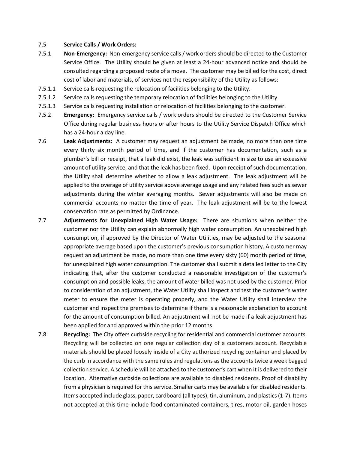#### <span id="page-14-0"></span>7.5 **Service Calls / Work Orders:**

- <span id="page-14-1"></span>7.5.1 **Non-Emergency:** Non-emergency service calls / work orders should be directed to the Customer Service Office. The Utility should be given at least a 24-hour advanced notice and should be consulted regarding a proposed route of a move. The customer may be billed for the cost, direct cost of labor and materials, of services not the responsibility of the Utility as follows:
- 7.5.1.1 Service calls requesting the relocation of facilities belonging to the Utility.
- 7.5.1.2 Service calls requesting the temporary relocation of facilities belonging to the Utility.
- 7.5.1.3 Service calls requesting installation or relocation of facilities belonging to the customer.
- <span id="page-14-2"></span>7.5.2 **Emergency:** Emergency service calls / work orders should be directed to the Customer Service Office during regular business hours or after hours to the Utility Service Dispatch Office which has a 24-hour a day line.
- <span id="page-14-3"></span>7.6 **Leak Adjustments:** A customer may request an adjustment be made, no more than one time every thirty six month period of time, and if the customer has documentation, such as a plumber's bill or receipt, that a leak did exist, the leak was sufficient in size to use an excessive amount of utility service, and that the leak has been fixed. Upon receipt of such documentation, the Utility shall determine whether to allow a leak adjustment. The leak adjustment will be applied to the overage of utility service above average usage and any related fees such as sewer adjustments during the winter averaging months. Sewer adjustments will also be made on commercial accounts no matter the time of year. The leak adjustment will be to the lowest conservation rate as permitted by Ordinance.
- 7.7 **Adjustments for Unexplained High Water Usage:** There are situations when neither the customer nor the Utility can explain abnormally high water consumption. An unexplained high consumption, if approved by the Director of Water Utilities, may be adjusted to the seasonal appropriate average based upon the customer's previous consumption history. A customer may request an adjustment be made, no more than one time every sixty (60) month period of time, for unexplained high water consumption. The customer shall submit a detailed letter to the City indicating that, after the customer conducted a reasonable investigation of the customer's consumption and possible leaks, the amount of water billed was not used by the customer. Prior to consideration of an adjustment, the Water Utility shall inspect and test the customer's water meter to ensure the meter is operating properly, and the Water Utility shall interview the customer and inspect the premises to determine if there is a reasonable explanation to account for the amount of consumption billed. An adjustment will not be made if a leak adjustment has been applied for and approved within the prior 12 months.
- <span id="page-14-4"></span>7.8 **Recycling:** The City offers curbside recycling for residential and commercial customer accounts. Recycling will be collected on one regular collection day of a customers account. Recyclable materials should be placed loosely inside of a City authorized recycling container and placed by the curb in accordance with the same rules and regulations as the accounts twice a week bagged collection service. A schedule will be attached to the customer's cart when it is delivered to their location. Alternative curbside collections are available to disabled residents. Proof of disability from a physician is required for this service. Smaller carts may be available for disabled residents. Items accepted include glass, paper, cardboard (all types), tin, aluminum, and plastics (1-7). Items not accepted at this time include food contaminated containers, tires, motor oil, garden hoses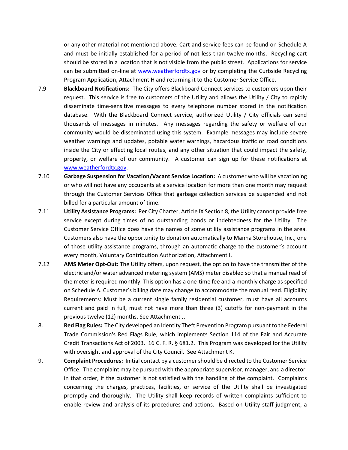or any other material not mentioned above. Cart and service fees can be found on Schedule A and must be initially established for a period of not less than twelve months. Recycling cart should be stored in a location that is not visible from the public street. Applications for service can be submitted on-line at [www.weatherfordtx.gov](http://www.weatherfordtx.gov/) or by completing the Curbside Recycling Program Application, Attachment H and returning it to the Customer Service Office.

- <span id="page-15-0"></span>7.9 **Black**b**oard Notifications:** The City offers Blackboard Connect services to customers upon their request. This service is free to customers of the Utility and allows the Utility / City to rapidly disseminate time-sensitive messages to every telephone number stored in the notification database. With the Blackboard Connect service, authorized Utility / City officials can send thousands of messages in minutes. Any messages regarding the safety or welfare of our community would be disseminated using this system. Example messages may include severe weather warnings and updates, potable water warnings, hazardous traffic or road conditions inside the City or effecting local routes, and any other situation that could impact the safety, property, or welfare of our community. A customer can sign up for these notifications at [www.weatherfordtx.gov.](http://www.weatherfordtx.gov/)
- <span id="page-15-1"></span>7.10 **Garbage Suspension for Vacation/Vacant Service Location:** A customer who will be vacationing or who will not have any occupants at a service location for more than one month may request through the Customer Services Office that garbage collection services be suspended and not billed for a particular amount of time.
- <span id="page-15-2"></span>7.11 **Utility Assistance Programs:** Per City Charter, Article IX Section 8, the Utility cannot provide free service except during times of no outstanding bonds or indebtedness for the Utility. The Customer Service Office does have the names of some utility assistance programs in the area. Customers also have the opportunity to donation automatically to Manna Storehouse, Inc., one of those utility assistance programs, through an automatic charge to the customer's account every month, Voluntary Contribution Authorization, Attachment I.
- 7.12 **AMS Meter Opt-Out:** The Utility offers, upon request, the option to have the transmitter of the electric and/or water advanced metering system (AMS) meter disabled so that a manual read of the meter is required monthly. This option has a one-time fee and a monthly charge as specified on Schedule A. Customer's billing date may change to accommodate the manual read. Eligibility Requirements: Must be a current single family residential customer, must have all accounts current and paid in full, must not have more than three (3) cutoffs for non-payment in the previous twelve (12) months. See Attachment J.
- <span id="page-15-3"></span>8. **Red Flag Rules:** The City developed an Identity Theft Prevention Program pursuant to the Federal Trade Commission's Red Flags Rule, which implements Section 114 of the Fair and Accurate Credit Transactions Act of 2003. 16 C. F. R. § 681.2. This Program was developed for the Utility with oversight and approval of the City Council. See Attachment K.
- <span id="page-15-4"></span>9. **Complaint Procedures:** Initial contact by a customer should be directed to the Customer Service Office. The complaint may be pursued with the appropriate supervisor, manager, and a director, in that order, if the customer is not satisfied with the handling of the complaint. Complaints concerning the charges, practices, facilities, or service of the Utility shall be investigated promptly and thoroughly. The Utility shall keep records of written complaints sufficient to enable review and analysis of its procedures and actions. Based on Utility staff judgment, a